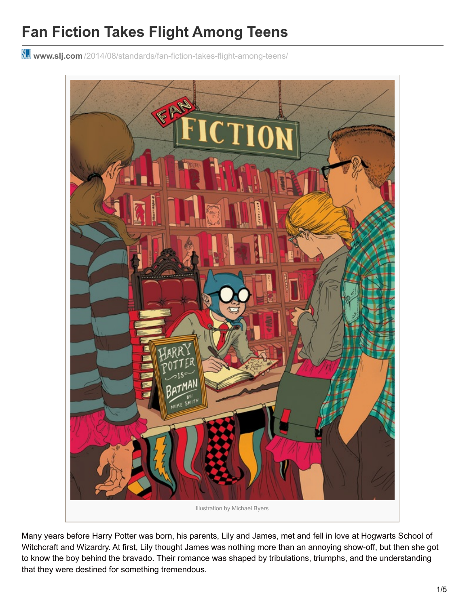# **Fan Fiction Takes Flight Among Teens**

**www.slj.com** [/2014/08/standards/fan-fiction-takes-flight-among-teens/](http://www.slj.com/2014/08/standards/fan-fiction-takes-flight-among-teens/)



Many years before Harry Potter was born, his parents, Lily and James, met and fell in love at Hogwarts School of Witchcraft and Wizardry. At first, Lily thought James was nothing more than an annoying show-off, but then she got to know the boy behind the bravado. Their romance was shaped by tribulations, triumphs, and the understanding that they were destined for something tremendous.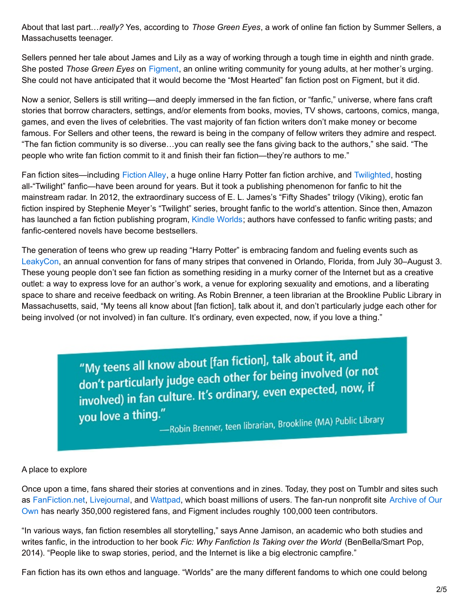About that last part…*really?* Yes, according to *Those Green Eyes*, a work of online fan fiction by Summer Sellers, a Massachusetts teenager.

Sellers penned her tale about James and Lily as a way of working through a tough time in eighth and ninth grade. She posted *Those Green Eyes* on [Figment](http://figment.com/), an online writing community for young adults, at her mother's urging. She could not have anticipated that it would become the "Most Hearted" fan fiction post on Figment, but it did.

Now a senior, Sellers is still writing—and deeply immersed in the fan fiction, or "fanfic," universe, where fans craft stories that borrow characters, settings, and/or elements from books, movies, TV shows, cartoons, comics, manga, games, and even the lives of celebrities. The vast majority of fan fiction writers don't make money or become famous. For Sellers and other teens, the reward is being in the company of fellow writers they admire and respect. "The fan fiction community is so diverse…you can really see the fans giving back to the authors," she said. "The people who write fan fiction commit to it and finish their fan fiction—they're authors to me."

Fan fiction sites—including [Fiction](http://fictionalley.org/) Alley, a huge online Harry Potter fan fiction archive, and [Twilighted](http://twilighted.net/), hosting all-"Twilight" fanfic—have been around for years. But it took a publishing phenomenon for fanfic to hit the mainstream radar. In 2012, the extraordinary success of E. L. James's "Fifty Shades" trilogy (Viking), erotic fan fiction inspired by Stephenie Meyer's "Twilight" series, brought fanfic to the world's attention. Since then, Amazon has launched a fan fiction publishing program, Kindle [Worlds](http://ow.ly/yVvnq); authors have confessed to fanfic writing pasts; and fanfic-centered novels have become bestsellers.

The generation of teens who grew up reading "Harry Potter" is embracing fandom and fueling events such as [LeakyCon](http://leakycon.com/), an annual convention for fans of many stripes that convened in Orlando, Florida, from July 30–August 3. These young people don't see fan fiction as something residing in a murky corner of the Internet but as a creative outlet: a way to express love for an author's work, a venue for exploring sexuality and emotions, and a liberating space to share and receive feedback on writing. As Robin Brenner, a teen librarian at the Brookline Public Library in Massachusetts, said, "My teens all know about [fan fiction], talk about it, and don't particularly judge each other for being involved (or not involved) in fan culture. It's ordinary, even expected, now, if you love a thing."

> "My teens all know about [fan fiction], talk about it, and<br>therefor being involved (or "My teens all know about plan neutring take the convolved (or not<br>don't particularly judge each other for being involved (or not don't particularly judge each other for being. you love a thing."

-<br>---Robin Brenner, teen librarian, Brookline (MA) Public Library

#### A place to explore

Once upon a time, fans shared their stories at conventions and in zines. Today, they post on Tumblr and sites such as [FanFiction.net,](http://archiveofourown.org/) [Livejournal](http://www.livejournal.com/), and [Wattpad](http://www.wattpad.com/), which boast millions of users. The fan-run nonprofit site Archive of Our Own has nearly 350,000 registered fans, and Figment includes roughly 100,000 teen contributors.

"In various ways, fan fiction resembles all storytelling," says Anne Jamison, an academic who both studies and writes fanfic, in the introduction to her book *Fic: Why Fanfiction Is Taking over the World* (BenBella/Smart Pop, 2014). "People like to swap stories, period, and the Internet is like a big electronic campfire."

Fan fiction has its own ethos and language. "Worlds" are the many different fandoms to which one could belong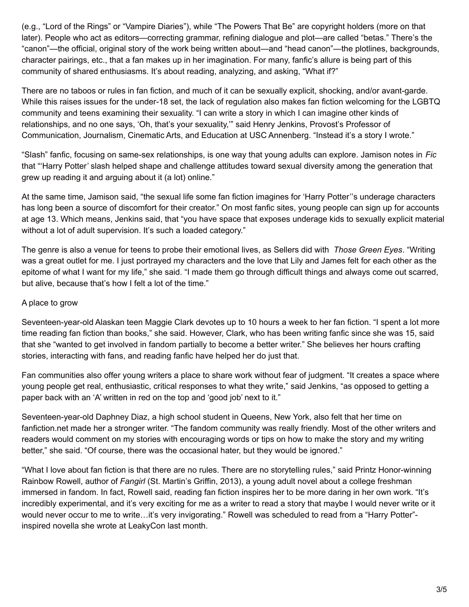(e.g., "Lord of the Rings" or "Vampire Diaries"), while "The Powers That Be" are copyright holders (more on that later). People who act as editors—correcting grammar, refining dialogue and plot—are called "betas." There's the "canon"—the official, original story of the work being written about—and "head canon"—the plotlines, backgrounds, character pairings, etc., that a fan makes up in her imagination. For many, fanfic's allure is being part of this community of shared enthusiasms. It's about reading, analyzing, and asking, "What if?"

There are no taboos or rules in fan fiction, and much of it can be sexually explicit, shocking, and/or avant-garde. While this raises issues for the under-18 set, the lack of regulation also makes fan fiction welcoming for the LGBTQ community and teens examining their sexuality. "I can write a story in which I can imagine other kinds of relationships, and no one says, 'Oh, that's your sexuality,'" said Henry Jenkins, Provost's Professor of Communication, Journalism, Cinematic Arts, and Education at USC Annenberg. "Instead it's a story I wrote."

"Slash" fanfic, focusing on same-sex relationships, is one way that young adults can explore. Jamison notes in *Fic* that "'Harry Potter' slash helped shape and challenge attitudes toward sexual diversity among the generation that grew up reading it and arguing about it (a lot) online."

At the same time, Jamison said, "the sexual life some fan fiction imagines for 'Harry Potter''s underage characters has long been a source of discomfort for their creator." On most fanfic sites, young people can sign up for accounts at age 13. Which means, Jenkins said, that "you have space that exposes underage kids to sexually explicit material without a lot of adult supervision. It's such a loaded category."

The genre is also a venue for teens to probe their emotional lives, as Sellers did with *Those Green Eyes*. "Writing was a great outlet for me. I just portrayed my characters and the love that Lily and James felt for each other as the epitome of what I want for my life," she said. "I made them go through difficult things and always come out scarred, but alive, because that's how I felt a lot of the time."

## A place to grow

Seventeen-year-old Alaskan teen Maggie Clark devotes up to 10 hours a week to her fan fiction. "I spent a lot more time reading fan fiction than books," she said. However, Clark, who has been writing fanfic since she was 15, said that she "wanted to get involved in fandom partially to become a better writer." She believes her hours crafting stories, interacting with fans, and reading fanfic have helped her do just that.

Fan communities also offer young writers a place to share work without fear of judgment. "It creates a space where young people get real, enthusiastic, critical responses to what they write," said Jenkins, "as opposed to getting a paper back with an 'A' written in red on the top and 'good job' next to it."

Seventeen-year-old Daphney Diaz, a high school student in Queens, New York, also felt that her time on fanfiction.net made her a stronger writer. "The fandom community was really friendly. Most of the other writers and readers would comment on my stories with encouraging words or tips on how to make the story and my writing better," she said. "Of course, there was the occasional hater, but they would be ignored."

"What I love about fan fiction is that there are no rules. There are no storytelling rules," said Printz Honor-winning Rainbow Rowell, author of *Fangirl* (St. Martin's Griffin, 2013), a young adult novel about a college freshman immersed in fandom. In fact, Rowell said, reading fan fiction inspires her to be more daring in her own work. "It's incredibly experimental, and it's very exciting for me as a writer to read a story that maybe I would never write or it would never occur to me to write...it's very invigorating." Rowell was scheduled to read from a "Harry Potter"inspired novella she wrote at LeakyCon last month.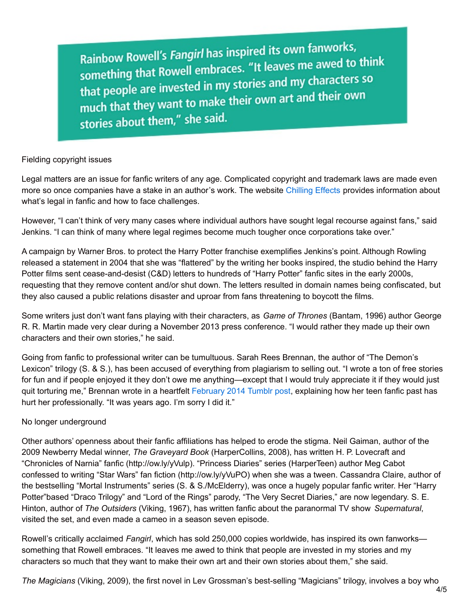Rainbow Rowell's Fangirl has inspired its own fanworks, Rainbow Rowell's Fangiri has inspired its sum them.<br>something that Rowell embraces. "It leaves me awed to think<br>interesting that Rowell embraces. "It leaves me awed to think something that Rowell embraces. It is the thing of that people are invested in my stories and my characters so that people are invested in my stories and their own<br>much that they want to make their own art and their own stories about them," she said.

#### Fielding copyright issues

Legal matters are an issue for fanfic writers of any age. Complicated copyright and trademark laws are made even more so once companies have a stake in an author's work. The website [Chilling](http://chillingeffects.org/) Effects provides information about what's legal in fanfic and how to face challenges.

However, "I can't think of very many cases where individual authors have sought legal recourse against fans," said Jenkins. "I can think of many where legal regimes become much tougher once corporations take over."

A campaign by Warner Bros. to protect the Harry Potter franchise exemplifies Jenkins's point. Although Rowling released a statement in 2004 that she was "flattered" by the writing her books inspired, the studio behind the Harry Potter films sent cease-and-desist (C&D) letters to hundreds of "Harry Potter" fanfic sites in the early 2000s, requesting that they remove content and/or shut down. The letters resulted in domain names being confiscated, but they also caused a public relations disaster and uproar from fans threatening to boycott the films.

Some writers just don't want fans playing with their characters, as *Game of Thrones* (Bantam, 1996) author George R. R. Martin made very clear during a November 2013 press conference. "I would rather they made up their own characters and their own stories," he said.

Going from fanfic to professional writer can be tumultuous. Sarah Rees Brennan, the author of "The Demon's Lexicon" trilogy (S. & S.), has been accused of everything from plagiarism to selling out. "I wrote a ton of free stories for fun and if people enjoyed it they don't owe me anything—except that I would truly appreciate it if they would just quit torturing me," Brennan wrote in a heartfelt [February](http://ow.ly/yVqEh) 2014 Tumblr post, explaining how her teen fanfic past has hurt her professionally. "It was years ago. I'm sorry I did it."

## No longer underground

Other authors' openness about their fanfic affiliations has helped to erode the stigma. Neil Gaiman, author of the 2009 Newberry Medal winner, *The Graveyard Book* (HarperCollins, 2008), has written H. P. Lovecraft and "Chronicles of Narnia" fanfic (http://ow.ly/yVulp). "Princess Diaries" series (HarperTeen) author Meg Cabot confessed to writing "Star Wars" fan fiction (http://ow.ly/yVuPO) when she was a tween. Cassandra Claire, author of the bestselling "Mortal Instruments" series (S. & S./McElderry), was once a hugely popular fanfic writer. Her "Harry Potter"based "Draco Trilogy" and "Lord of the Rings" parody, "The Very Secret Diaries," are now legendary. S. E. Hinton, author of *The Outsiders* (Viking, 1967), has written fanfic about the paranormal TV show *Supernatural*, visited the set, and even made a cameo in a season seven episode.

Rowell's critically acclaimed *Fangirl*, which has sold 250,000 copies worldwide, has inspired its own fanworks something that Rowell embraces. "It leaves me awed to think that people are invested in my stories and my characters so much that they want to make their own art and their own stories about them," she said.

*The Magicians* (Viking, 2009), the first novel in Lev Grossman's best-selling "Magicians" trilogy, involves a boy who